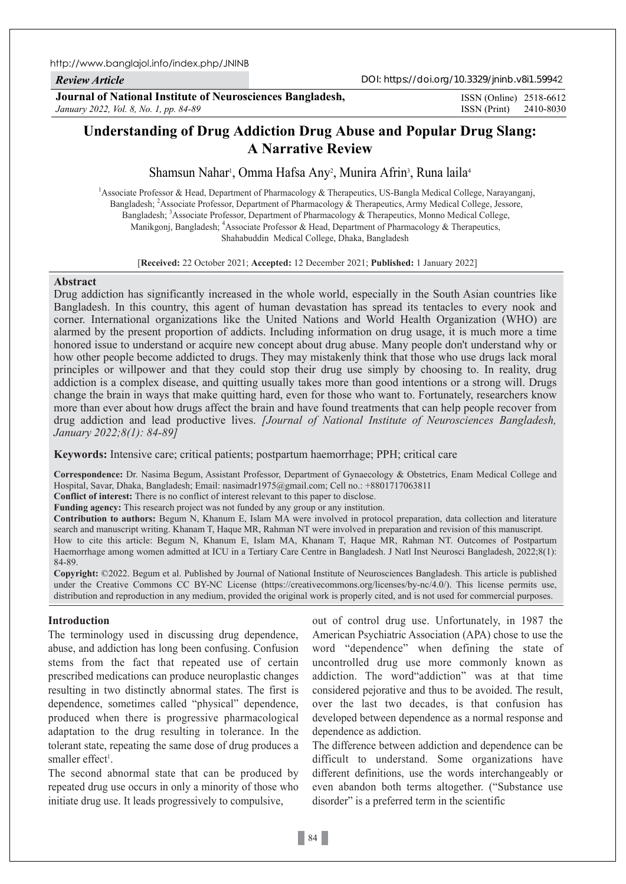*Review Article*

**Journal of National Institute of Neurosciences Bangladesh,** *January 2022, Vol. 8, No. 1, pp. 84-89*

ISSN (Print) 2410-8030 ISSN (Online) 2518-6612

# **Understanding of Drug Addiction Drug Abuse and Popular Drug Slang: A Narrative Review**

Shamsun Nahar<sup>i</sup>, Omma Hafsa Any<sup>2</sup>, Munira Afrin<sup>3</sup>, Runa laila<sup>4</sup>

<sup>1</sup> Associate Professor & Head, Department of Pharmacology & Therapeutics, US-Bangla Medical College, Narayanganj, Bangladesh; 2 Associate Professor, Department of Pharmacology & Therapeutics, Army Medical College, Jessore, Bangladesh; <sup>3</sup>Associate Professor, Department of Pharmacology & Therapeutics, Monno Medical College, Manikgonj, Bangladesh; <sup>4</sup>Associate Professor & Head, Department of Pharmacology & Therapeutics, Shahabuddin Medical College, Dhaka, Bangladesh

[**Received:** 22 October 2021; **Accepted:** 12 December 2021; **Published:** 1 January 2022]

#### **Abstract**

Drug addiction has significantly increased in the whole world, especially in the South Asian countries like Bangladesh. In this country, this agent of human devastation has spread its tentacles to every nook and corner. International organizations like the United Nations and World Health Organization (WHO) are alarmed by the present proportion of addicts. Including information on drug usage, it is much more a time honored issue to understand or acquire new concept about drug abuse. Many people don't understand why or how other people become addicted to drugs. They may mistakenly think that those who use drugs lack moral principles or willpower and that they could stop their drug use simply by choosing to. In reality, drug addiction is a complex disease, and quitting usually takes more than good intentions or a strong will. Drugs change the brain in ways that make quitting hard, even for those who want to. Fortunately, researchers know more than ever about how drugs affect the brain and have found treatments that can help people recover from drug addiction and lead productive lives. *[Journal of National Institute of Neurosciences Bangladesh, January 2022;8(1): 84-89]*

**Keywords:** Intensive care; critical patients; postpartum haemorrhage; PPH; critical care

**Correspondence:** Dr. Nasima Begum, Assistant Professor, Department of Gynaecology & Obstetrics, Enam Medical College and Hospital, Savar, Dhaka, Bangladesh; Email: nasimadr1975@gmail.com; Cell no.: +8801717063811

**Conflict of interest:** There is no conflict of interest relevant to this paper to disclose.

**Funding agency:** This research project was not funded by any group or any institution.

**Contribution to authors:** Begum N, Khanum E, Islam MA were involved in protocol preparation, data collection and literature search and manuscript writing. Khanam T, Haque MR, Rahman NT were involved in preparation and revision of this manuscript. How to cite this article: Begum N, Khanum E, Islam MA, Khanam T, Haque MR, Rahman NT. Outcomes of Postpartum Haemorrhage among women admitted at ICU in a Tertiary Care Centre in Bangladesh. J Natl Inst Neurosci Bangladesh, 2022;8(1): 84-89.

**Copyright:** ©2022. Begum et al. Published by Journal of National Institute of Neurosciences Bangladesh. This article is published under the Creative Commons CC BY-NC License (https://creativecommons.org/licenses/by-nc/4.0/). This license permits use, distribution and reproduction in any medium, provided the original work is properly cited, and is not used for commercial purposes.

#### **Introduction**

The terminology used in discussing drug dependence, abuse, and addiction has long been confusing. Confusion stems from the fact that repeated use of certain prescribed medications can produce neuroplastic changes resulting in two distinctly abnormal states. The first is dependence, sometimes called "physical" dependence, produced when there is progressive pharmacological adaptation to the drug resulting in tolerance. In the tolerant state, repeating the same dose of drug produces a smaller effect<sup>1</sup>.

The second abnormal state that can be produced by repeated drug use occurs in only a minority of those who initiate drug use. It leads progressively to compulsive,

out of control drug use. Unfortunately, in 1987 the American Psychiatric Association (APA) chose to use the word "dependence" when defining the state of uncontrolled drug use more commonly known as addiction. The word"addiction" was at that time considered pejorative and thus to be avoided. The result, over the last two decades, is that confusion has developed between dependence as a normal response and dependence as addiction.

The difference between addiction and dependence can be difficult to understand. Some organizations have different definitions, use the words interchangeably or even abandon both terms altogether. ("Substance use disorder" is a preferred term in the scientific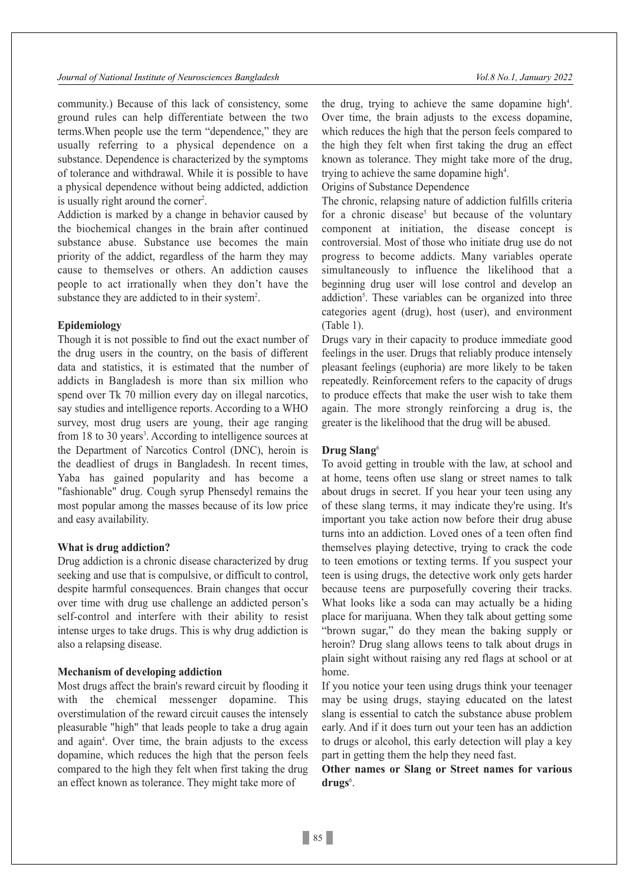community.) Because of this lack of consistency, some ground rules can help differentiate between the two terms.When people use the term "dependence," they are usually referring to a physical dependence on a substance. Dependence is characterized by the symptoms of tolerance and withdrawal. While it is possible to have a physical dependence without being addicted, addiction is usually right around the corner<sup>2</sup>.

Addiction is marked by a change in behavior caused by the biochemical changes in the brain after continued substance abuse. Substance use becomes the main priority of the addict, regardless of the harm they may cause to themselves or others. An addiction causes people to act irrationally when they don't have the substance they are addicted to in their system<sup>2</sup>.

### **Epidemiology**

Though it is not possible to find out the exact number of the drug users in the country, on the basis of different data and statistics, it is estimated that the number of addicts in Bangladesh is more than six million who spend over Tk 70 million every day on illegal narcotics, say studies and intelligence reports. According to a WHO survey, most drug users are young, their age ranging from 18 to 30 years<sup>3</sup>. According to intelligence sources at the Department of Narcotics Control (DNC), heroin is the deadliest of drugs in Bangladesh. In recent times, Yaba has gained popularity and has become a "fashionable" drug. Cough syrup Phensedyl remains the most popular among the masses because of its low price and easy availability.

### **What is drug addiction?**

Drug addiction is a chronic disease characterized by drug seeking and use that is compulsive, or difficult to control, despite harmful consequences. Brain changes that occur over time with drug use challenge an addicted person's self-control and interfere with their ability to resist intense urges to take drugs. This is why drug addiction is also a relapsing disease.

# **Mechanism of developing addiction**

Most drugs affect the brain's reward circuit by flooding it with the chemical messenger dopamine. This overstimulation of the reward circuit causes the intensely pleasurable "high" that leads people to take a drug again and again<sup>4</sup>. Over time, the brain adjusts to the excess dopamine, which reduces the high that the person feels compared to the high they felt when first taking the drug an effect known as tolerance. They might take more of

the drug, trying to achieve the same dopamine high<sup>4</sup>. Over time, the brain adjusts to the excess dopamine, which reduces the high that the person feels compared to the high they felt when first taking the drug an effect known as tolerance. They might take more of the drug, trying to achieve the same dopamine high<sup>4</sup>.

Origins of Substance Dependence

The chronic, relapsing nature of addiction fulfills criteria for a chronic disease<sup>5</sup> but because of the voluntary component at initiation, the disease concept is controversial. Most of those who initiate drug use do not progress to become addicts. Many variables operate simultaneously to influence the likelihood that a beginning drug user will lose control and develop an addiction<sup>5</sup>. These variables can be organized into three categories agent (drug), host (user), and environment (Table 1).

Drugs vary in their capacity to produce immediate good feelings in the user. Drugs that reliably produce intensely pleasant feelings (euphoria) are more likely to be taken repeatedly. Reinforcement refers to the capacity of drugs to produce effects that make the user wish to take them again. The more strongly reinforcing a drug is, the greater is the likelihood that the drug will be abused.

### **Drug Slang**<sup>6</sup>

To avoid getting in trouble with the law, at school and at home, teens often use slang or street names to talk about drugs in secret. If you hear your teen using any of these slang terms, it may indicate they're using. It's important you take action now before their drug abuse turns into an addiction. Loved ones of a teen often find themselves playing detective, trying to crack the code to teen emotions or texting terms. If you suspect your teen is using drugs, the detective work only gets harder because teens are purposefully covering their tracks. What looks like a soda can may actually be a hiding place for marijuana. When they talk about getting some "brown sugar," do they mean the baking supply or heroin? Drug slang allows teens to talk about drugs in plain sight without raising any red flags at school or at home.

If you notice your teen using drugs think your teenager may be using drugs, staying educated on the latest slang is essential to catch the substance abuse problem early. And if it does turn out your teen has an addiction to drugs or alcohol, this early detection will play a key part in getting them the help they need fast.

**Other names or Slang or Street names for various**  drugs<sup>6</sup>.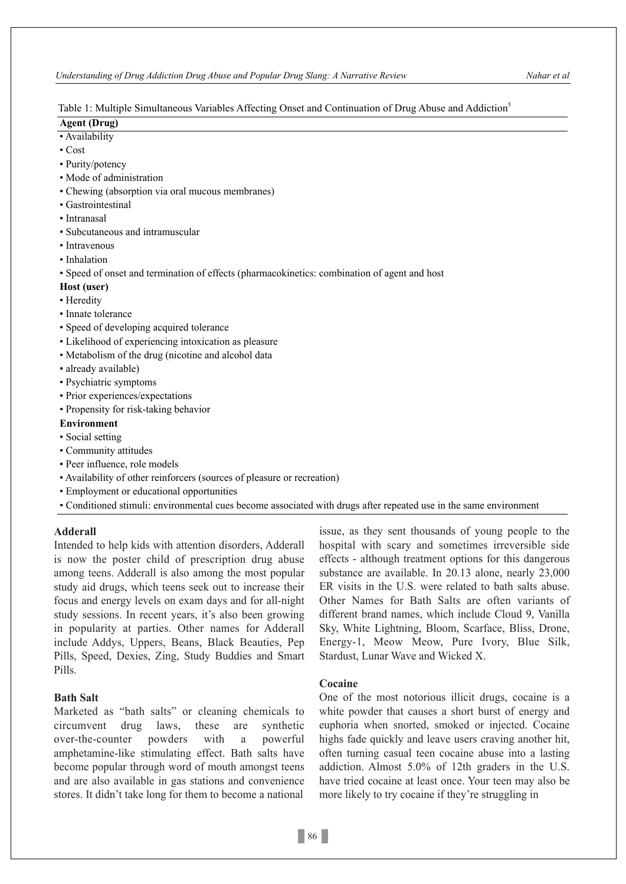### Table 1: Multiple Simultaneous Variables Affecting Onset and Continuation of Drug Abuse and Addiction<sup>5</sup>

# **Agent (Drug)**

- Availability
- Cost
- Purity/potency
- Mode of administration
- Chewing (absorption via oral mucous membranes)
- Gastrointestinal
- Intranasal
- Subcutaneous and intramuscular
- Intravenous
- Inhalation
- Speed of onset and termination of effects (pharmacokinetics: combination of agent and host

#### **Host (user)**

- Heredity
- Innate tolerance
- Speed of developing acquired tolerance
- Likelihood of experiencing intoxication as pleasure
- Metabolism of the drug (nicotine and alcohol data
- already available)
- Psychiatric symptoms
- Prior experiences/expectations
- Propensity for risk-taking behavior

# **Environment**

- Social setting
- Community attitudes
- Peer influence, role models
- Availability of other reinforcers (sources of pleasure or recreation)
- Employment or educational opportunities
- Conditioned stimuli: environmental cues become associated with drugs after repeated use in the same environment

# **Adderall**

Intended to help kids with attention disorders, Adderall is now the poster child of prescription drug abuse among teens. Adderall is also among the most popular study aid drugs, which teens seek out to increase their focus and energy levels on exam days and for all-night study sessions. In recent years, it's also been growing in popularity at parties. Other names for Adderall include Addys, Uppers, Beans, Black Beauties, Pep Pills, Speed, Dexies, Zing, Study Buddies and Smart Pills.

# **Bath Salt**

Marketed as "bath salts" or cleaning chemicals to circumvent drug laws, these are synthetic over-the-counter powders with a powerful amphetamine-like stimulating effect. Bath salts have become popular through word of mouth amongst teens and are also available in gas stations and convenience stores. It didn't take long for them to become a national

issue, as they sent thousands of young people to the hospital with scary and sometimes irreversible side effects - although treatment options for this dangerous substance are available. In 20.13 alone, nearly 23,000 ER visits in the U.S. were related to bath salts abuse. Other Names for Bath Salts are often variants of different brand names, which include Cloud 9, Vanilla Sky, White Lightning, Bloom, Scarface, Bliss, Drone, Energy-1, Meow Meow, Pure Ivory, Blue Silk, Stardust, Lunar Wave and Wicked X.

# **Cocaine**

One of the most notorious illicit drugs, cocaine is a white powder that causes a short burst of energy and euphoria when snorted, smoked or injected. Cocaine highs fade quickly and leave users craving another hit, often turning casual teen cocaine abuse into a lasting addiction. Almost 5.0% of 12th graders in the U.S. have tried cocaine at least once. Your teen may also be more likely to try cocaine if they're struggling in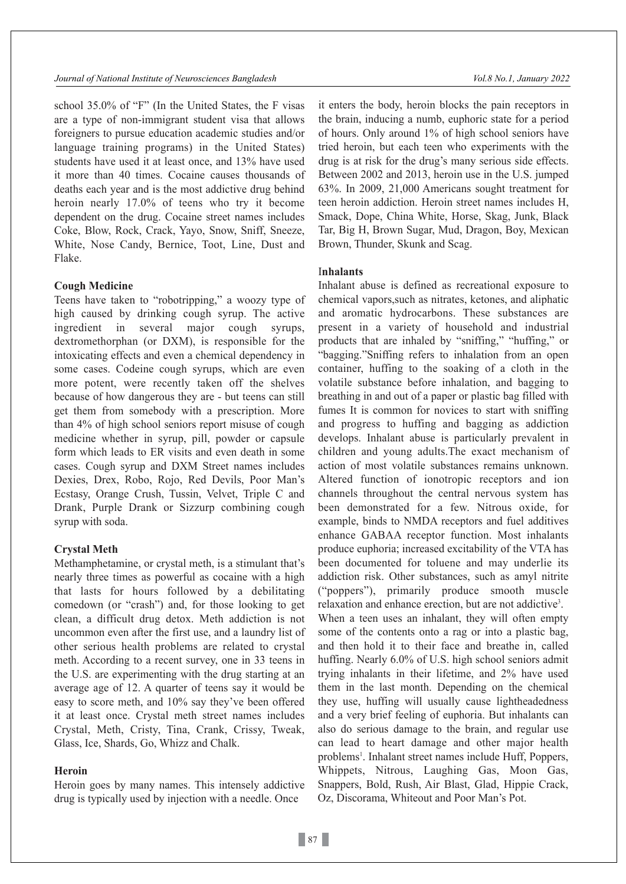school 35.0% of "F" (In the United States, the F visas are a type of non-immigrant student visa that allows foreigners to pursue education academic studies and/or language training programs) in the United States) students have used it at least once, and 13% have used it more than 40 times. Cocaine causes thousands of deaths each year and is the most addictive drug behind heroin nearly 17.0% of teens who try it become dependent on the drug. Cocaine street names includes Coke, Blow, Rock, Crack, Yayo, Snow, Sniff, Sneeze, White, Nose Candy, Bernice, Toot, Line, Dust and Flake.

# **Cough Medicine**

Teens have taken to "robotripping," a woozy type of high caused by drinking cough syrup. The active ingredient in several major cough syrups, dextromethorphan (or DXM), is responsible for the intoxicating effects and even a chemical dependency in some cases. Codeine cough syrups, which are even more potent, were recently taken off the shelves because of how dangerous they are - but teens can still get them from somebody with a prescription. More than 4% of high school seniors report misuse of cough medicine whether in syrup, pill, powder or capsule form which leads to ER visits and even death in some cases. Cough syrup and DXM Street names includes Dexies, Drex, Robo, Rojo, Red Devils, Poor Man's Ecstasy, Orange Crush, Tussin, Velvet, Triple C and Drank, Purple Drank or Sizzurp combining cough syrup with soda.

# **Crystal Meth**

Methamphetamine, or crystal meth, is a stimulant that's nearly three times as powerful as cocaine with a high that lasts for hours followed by a debilitating comedown (or "crash") and, for those looking to get clean, a difficult drug detox. Meth addiction is not uncommon even after the first use, and a laundry list of other serious health problems are related to crystal meth. According to a recent survey, one in 33 teens in the U.S. are experimenting with the drug starting at an average age of 12. A quarter of teens say it would be easy to score meth, and 10% say they've been offered it at least once. Crystal meth street names includes Crystal, Meth, Cristy, Tina, Crank, Crissy, Tweak, Glass, Ice, Shards, Go, Whizz and Chalk.

# **Heroin**

Heroin goes by many names. This intensely addictive drug is typically used by injection with a needle. Once

it enters the body, heroin blocks the pain receptors in the brain, inducing a numb, euphoric state for a period of hours. Only around 1% of high school seniors have tried heroin, but each teen who experiments with the drug is at risk for the drug's many serious side effects. Between 2002 and 2013, heroin use in the U.S. jumped 63%. In 2009, 21,000 Americans sought treatment for teen heroin addiction. Heroin street names includes H, Smack, Dope, China White, Horse, Skag, Junk, Black Tar, Big H, Brown Sugar, Mud, Dragon, Boy, Mexican Brown, Thunder, Skunk and Scag.

# I**nhalants**

Inhalant abuse is defined as recreational exposure to chemical vapors,such as nitrates, ketones, and aliphatic and aromatic hydrocarbons. These substances are present in a variety of household and industrial products that are inhaled by "sniffing," "huffing," or "bagging."Sniffing refers to inhalation from an open container, huffing to the soaking of a cloth in the volatile substance before inhalation, and bagging to breathing in and out of a paper or plastic bag filled with fumes It is common for novices to start with sniffing and progress to huffing and bagging as addiction develops. Inhalant abuse is particularly prevalent in children and young adults.The exact mechanism of action of most volatile substances remains unknown. Altered function of ionotropic receptors and ion channels throughout the central nervous system has been demonstrated for a few. Nitrous oxide, for example, binds to NMDA receptors and fuel additives enhance GABAA receptor function. Most inhalants produce euphoria; increased excitability of the VTA has been documented for toluene and may underlie its addiction risk. Other substances, such as amyl nitrite ("poppers"), primarily produce smooth muscle relaxation and enhance erection, but are not addictive<sup>3</sup>. When a teen uses an inhalant, they will often empty some of the contents onto a rag or into a plastic bag, and then hold it to their face and breathe in, called huffing. Nearly 6.0% of U.S. high school seniors admit trying inhalants in their lifetime, and 2% have used them in the last month. Depending on the chemical they use, huffing will usually cause lightheadedness and a very brief feeling of euphoria. But inhalants can also do serious damage to the brain, and regular use can lead to heart damage and other major health problems<sup>1</sup>. Inhalant street names include Huff, Poppers, Whippets, Nitrous, Laughing Gas, Moon Gas, Snappers, Bold, Rush, Air Blast, Glad, Hippie Crack, Oz, Discorama, Whiteout and Poor Man's Pot.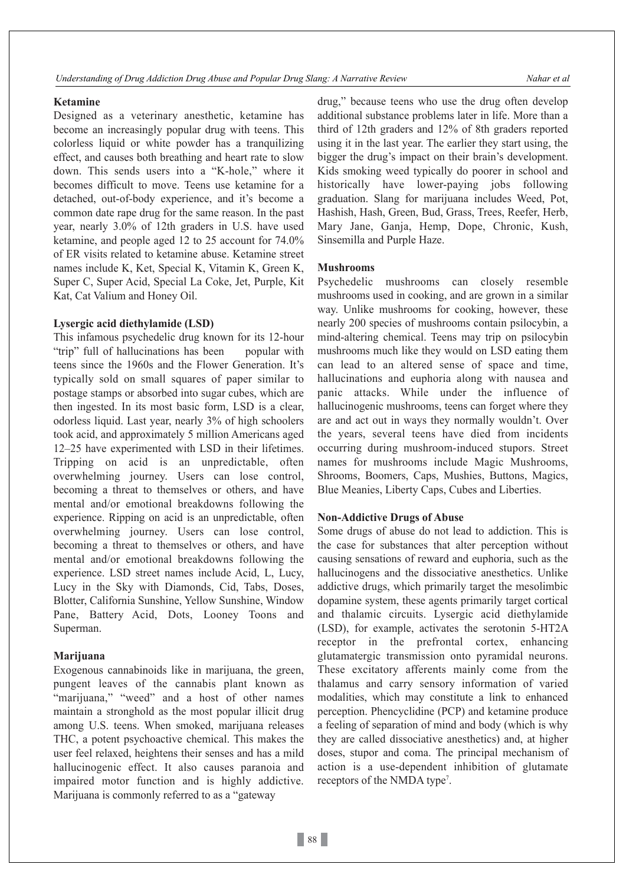# **Ketamine**

Designed as a veterinary anesthetic, ketamine has become an increasingly popular drug with teens. This colorless liquid or white powder has a tranquilizing effect, and causes both breathing and heart rate to slow down. This sends users into a "K-hole," where it becomes difficult to move. Teens use ketamine for a detached, out-of-body experience, and it's become a common date rape drug for the same reason. In the past year, nearly 3.0% of 12th graders in U.S. have used ketamine, and people aged 12 to 25 account for 74.0% of ER visits related to ketamine abuse. Ketamine street names include K, Ket, Special K, Vitamin K, Green K, Super C, Super Acid, Special La Coke, Jet, Purple, Kit Kat, Cat Valium and Honey Oil.

# **Lysergic acid diethylamide (LSD)**

This infamous psychedelic drug known for its 12-hour "trip" full of hallucinations has been popular with teens since the 1960s and the Flower Generation. It's typically sold on small squares of paper similar to postage stamps or absorbed into sugar cubes, which are then ingested. In its most basic form, LSD is a clear, odorless liquid. Last year, nearly 3% of high schoolers took acid, and approximately 5 million Americans aged 12–25 have experimented with LSD in their lifetimes. Tripping on acid is an unpredictable, often overwhelming journey. Users can lose control, becoming a threat to themselves or others, and have mental and/or emotional breakdowns following the experience. Ripping on acid is an unpredictable, often overwhelming journey. Users can lose control, becoming a threat to themselves or others, and have mental and/or emotional breakdowns following the experience. LSD street names include Acid, L, Lucy, Lucy in the Sky with Diamonds, Cid, Tabs, Doses, Blotter, California Sunshine, Yellow Sunshine, Window Pane, Battery Acid, Dots, Looney Toons and Superman.

#### **Marijuana**

Exogenous cannabinoids like in marijuana, the green, pungent leaves of the cannabis plant known as "marijuana," "weed" and a host of other names maintain a stronghold as the most popular illicit drug among U.S. teens. When smoked, marijuana releases THC, a potent psychoactive chemical. This makes the user feel relaxed, heightens their senses and has a mild hallucinogenic effect. It also causes paranoia and impaired motor function and is highly addictive. Marijuana is commonly referred to as a "gateway

drug," because teens who use the drug often develop additional substance problems later in life. More than a third of 12th graders and 12% of 8th graders reported using it in the last year. The earlier they start using, the bigger the drug's impact on their brain's development. Kids smoking weed typically do poorer in school and historically have lower-paying jobs following graduation. Slang for marijuana includes Weed, Pot, Hashish, Hash, Green, Bud, Grass, Trees, Reefer, Herb, Mary Jane, Ganja, Hemp, Dope, Chronic, Kush, Sinsemilla and Purple Haze.

# **Mushrooms**

Psychedelic mushrooms can closely resemble mushrooms used in cooking, and are grown in a similar way. Unlike mushrooms for cooking, however, these nearly 200 species of mushrooms contain psilocybin, a mind-altering chemical. Teens may trip on psilocybin mushrooms much like they would on LSD eating them can lead to an altered sense of space and time, hallucinations and euphoria along with nausea and panic attacks. While under the influence of hallucinogenic mushrooms, teens can forget where they are and act out in ways they normally wouldn't. Over the years, several teens have died from incidents occurring during mushroom-induced stupors. Street names for mushrooms include Magic Mushrooms, Shrooms, Boomers, Caps, Mushies, Buttons, Magics, Blue Meanies, Liberty Caps, Cubes and Liberties.

# **Non-Addictive Drugs of Abuse**

Some drugs of abuse do not lead to addiction. This is the case for substances that alter perception without causing sensations of reward and euphoria, such as the hallucinogens and the dissociative anesthetics. Unlike addictive drugs, which primarily target the mesolimbic dopamine system, these agents primarily target cortical and thalamic circuits. Lysergic acid diethylamide (LSD), for example, activates the serotonin 5-HT2A receptor in the prefrontal cortex, enhancing glutamatergic transmission onto pyramidal neurons. These excitatory afferents mainly come from the thalamus and carry sensory information of varied modalities, which may constitute a link to enhanced perception. Phencyclidine (PCP) and ketamine produce a feeling of separation of mind and body (which is why they are called dissociative anesthetics) and, at higher doses, stupor and coma. The principal mechanism of action is a use-dependent inhibition of glutamate receptors of the NMDA type<sup>7</sup>.